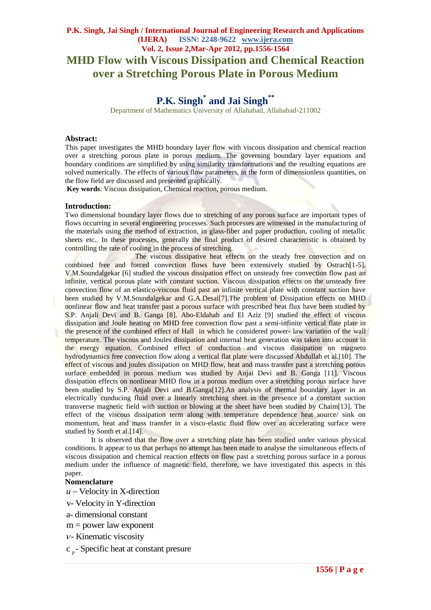# **P.K. Singh, Jai Singh / International Journal of Engineering Research and Applications (IJERA) ISSN: 2248-9622 www.ijera.com Vol. 2, Issue 2,Mar-Apr 2012, pp.1556-1564 MHD Flow with Viscous Dissipation and Chemical Reaction over a Stretching Porous Plate in Porous Medium**

# **P.K. Singh\* and Jai Singh\*\***

Department of Mathematics University of Allahabad, Allahabad-211002

### **Abstract:**

This paper investigates the MHD boundary layer flow with viscous dissipation and chemical reaction over a stretching porous plate in porous medium. The governing boundary layer equations and boundary conditions are simplified by using similarity transformations and the resulting equations are solved numerically. The effects of various flow parameters, in the form of dimensionless quantities, on the flow field are discussed and presented graphically.

**Key words**: Viscous dissipation, Chemical reaction, porous medium.

#### **Introduction:**

Two dimensional boundary layer flows due to stretching of any porous surface are important types of flows occurring in several engineering processes. Such processes are witnessed in the manufacturing of the materials using the method of extraction, in glass-fiber and paper production, cooling of metallic sheets etc.. In these processes, generally the final product of desired characteristic is obtained by controlling the rate of cooling in the process of stretching.

The viscous dissipative heat effects on the steady free convection and on combined free and forced convection flows have been extensively studied by Ostrach[1-5]. V.M.Soundalgekar [6] studied the viscous dissipation effect on unsteady free convection flow past an infinite, vertical porous plate with constant suction. Viscous dissipation effects on the unsteady free convection flow of an elastico-viscous fluid past an infinite vertical plate with constant suction have been studied by V.M.Soundalgekar and G.A.Desai[7].The problem of Dissipation effects on MHD nonlinear flow and heat transfer past a porous surface with prescribed heat flux have been studied by S.P. Anjali Devi and B. Ganga [8]. Abo-Eldahab and El Aziz [9] studied the effect of viscous dissipation and Joule heating on MHD free convection flow past a semi-infinite vertical flate plate in the presence of the combined effect of Hall in which he considered power- law variation of the wall temperature. The viscous and Joules dissipation and internal heat generation was taken into account in the energy equation. Combined effect of conduction and viscous dissipation on magneto hydrodynamics free convection flow along a vertical flat plate were discussed Abdullah et al.[10]. The effect of viscous and joules dissipation on MHD flow, heat and mass transfer past a stretching porous surface embedded in porous medium was studied by Anjai Devi and B. Ganga [11]. Viscous dissipation effects on nonlinear MHD flow in a porous medium over a stretching porous surface have been studied by S.P. Anjali Devi and B.Ganga[12].An analysis of thermal boundary layer in an electrically conducing fluid over a linearly stretching sheet in the presence of a constant suction transverse magnetic field with suction or blowing at the sheet have been studied by Chaim[13]. The effect of the viscous dissipation term along with temperature dependence heat source/ sink on momentum, heat and mass transfer in a visco-elastic fluid flow over an accelerating surface were studied by Sonth et al.<sup>[14]</sup>.

It is observed that the flow over a stretching plate has been studied under various physical conditions. It appear to us that perhaps no attempt has been made to analyse the simultaneous effects of viscous dissipation and chemical reaction effects on flow past a stretching porous surface in a porous medium under the influence of magnetic field, therefore, we have investigated this aspects in this paper.

#### **Nomenclature**

*u* – Velocity in X-direction v- Velocity in Y-direction

- 
- a- dimensional constant
- $m = power$  law exponent
- 
- $v$  Kinematic viscosity<br>c  $_p$  Specific heat at constant presure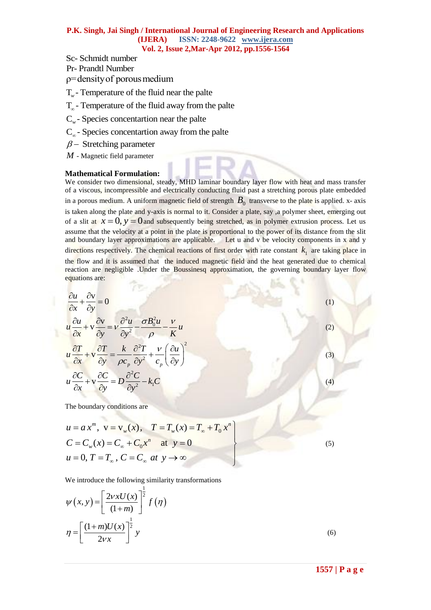## **P.K. Singh, Jai Singh / International Journal of Engineering Research and Applications (IJERA) ISSN: 2248-9622 www.ijera.com Vol. 2, Issue 2,Mar-Apr 2012, pp.1556-1564**

- 
- 
- 
- T. Temperature of the fluid near the palte
- $T_{\infty}$  Temperature of the fluid away from the palte  $C_{\infty}$  Species concentartion near the palte
- 
- $C_{\infty}$  Species concentartion away from the palte
- $\beta$  Stretching parameter
- *M* Magnetic field parameter

#### **Mathematical Formulation:**

**55** Chandra manner of the fluid number  $\vec{r} = \frac{1}{2}$  P and  $\vec{r} = \frac{1}{2}$  P a g elemention of the fluid near the palte *g*<sub>-</sub> Species concentration number palte *f* - Species concentration and why from the palte *g* We consider two dimensional, steady, MHD laminar boundary layer flow with heat and mass transfer of a viscous, incompressible and electrically conducting fluid past a stretching porous plate embedded in a porous medium. A uniform magnetic field of strength  $B_0$  transverse to the plate is applied. x- axis is taken along the plate and y-axis is normal to it. Consider a plate, say ,a polymer sheet, emerging out of a slit at  $x = 0$ ,  $y = 0$  and subsequently being stretched, as in polymer extrusion process. Let us assume that the velocity at a point in the plate is proportional to the power of its distance from the slit and boundary layer approximations are applicable. Let u and v be velocity components in x and y directions respectively. The chemical reactions of first order with rate constant  $k_1$  are taking place in the flow and it is assumed that the induced magnetic field and the heat generated due to chemical reaction are negligible .Under the Boussinesq approximation, the governing boundary layer flow equations are:

$$
\frac{\partial u}{\partial x} + \frac{\partial v}{\partial y} = 0
$$
\n
$$
u \frac{\partial u}{\partial x} + v \frac{\partial v}{\partial y} = v \frac{\partial^2 u}{\partial y^2} - \frac{\partial^2 u}{\partial y^2} - \frac{v}{\rho} u
$$
\n
$$
u \frac{\partial T}{\partial x} + v \frac{\partial T}{\partial y} = \frac{k}{\rho c_p} \frac{\partial^2 T}{\partial y^2} + \frac{v}{c_p} \left(\frac{\partial u}{\partial y}\right)^2
$$
\n
$$
u \frac{\partial C}{\partial x} + v \frac{\partial C}{\partial y} = D \frac{\partial^2 C}{\partial y^2} - k_1 C
$$

The boundary conditions are

The boundary conditions are  
\n
$$
u = a x^m
$$
,  $v = v_w(x)$ ,  $T = T_w(x) = T_\infty + T_0 x^n$   
\n $C = C_w(x) = C_\infty + C_0 x^n$  at  $y = 0$   
\n $u = 0, T = T_\infty, C = C_\infty$  at  $y \to \infty$ 

We introduce the following similarity transformations

$$
\psi(x, y) = \left[\frac{2vxU(x)}{(1+m)}\right]^{\frac{1}{2}} f(\eta)
$$

$$
\eta = \left[\frac{(1+m)U(x)}{2vx}\right]^{\frac{1}{2}} y
$$
(6)

(1)

(2)

(3)

(4)

(5)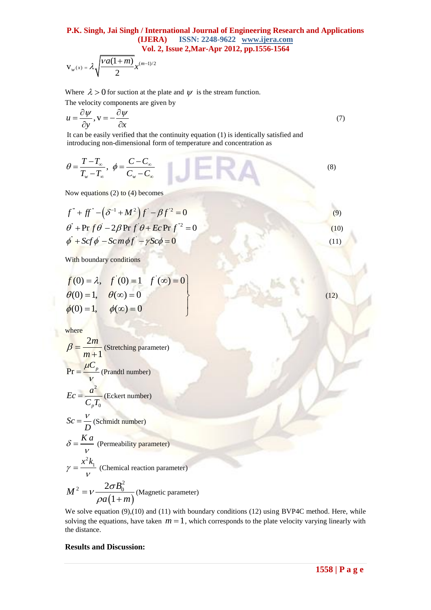# **P.K. Singh, Jai Singh / International Journal of Engineering Research and Applications (IJERA) ISSN: 2248-9622 www.ijera.com Vol. 2, Issue 2,Mar-Apr 2012, pp.1556-1564**

$$
V_w(x) = \lambda \sqrt{\frac{va(1+m)}{2}} x^{(m-1)/2}
$$

Where  $\lambda > 0$  for suction at the plate and  $\psi$  is the stream function.

The velocity components are given by

$$
u = \frac{\partial \psi}{\partial y}, v = -\frac{\partial \psi}{\partial x}
$$
 (7)

It can be easily verified that the continuity equation (1) is identically satisfied and introducing non-dimensional form of temperature and concentration as

$$
\theta = \frac{T - T_{\infty}}{T_{w} - T_{\infty}}, \quad \phi = \frac{C - C_{\infty}}{C_{w} - C_{\infty}}
$$
 (8)

Now equations (2) to (4) becomes

$$
f^{\dagger} + ff^{\dagger} - (\delta^{-1} + M^2)f' - \beta f'^2 = 0
$$
  
\n
$$
\theta^{\dagger} + \text{Pr } f \theta^{\dagger} - 2\beta \text{Pr } f' \theta + Ec \text{Pr } f'^2 = 0
$$
  
\n
$$
\phi^{\dagger} + Scf \phi - Scm\phi f' - \gamma Sc\phi = 0
$$
\n(11)

With boundary conditions

$$
f(0) = \lambda, \quad f'(0) = 1 \quad f'(\infty) = 0
$$
  
\n
$$
\theta(0) = 1, \quad \theta(\infty) = 0
$$
  
\n
$$
\phi(0) = 1, \quad \phi(\infty) = 0
$$

where

$$
\beta = \frac{2m}{m+1}
$$
 (Stretching parameter)  
Pr =  $\frac{\mu C_p}{V}$  (Prandtl number)  

$$
Ec = \frac{a^2}{C_p T_0}
$$
 (Eckert number)  

$$
Sc = \frac{V}{D}
$$
 (Schmidt number)  

$$
\delta = \frac{Ka}{V}
$$
 (Permeability parameter)  

$$
\gamma = \frac{x^2 k_1}{V}
$$
 (Chemical reaction parameter)

$$
M^{2} = v \frac{2\sigma B_{0}^{2}}{\rho a(1+m)}
$$
 (Magnetic parameter)

We solve equation (9),(10) and (11) with boundary conditions (12) using BVP4C method. Here, while solving the equations, have taken  $m = 1$ , which corresponds to the plate velocity varying linearly with the distance.

## **Results and Discussion:**

V

(12)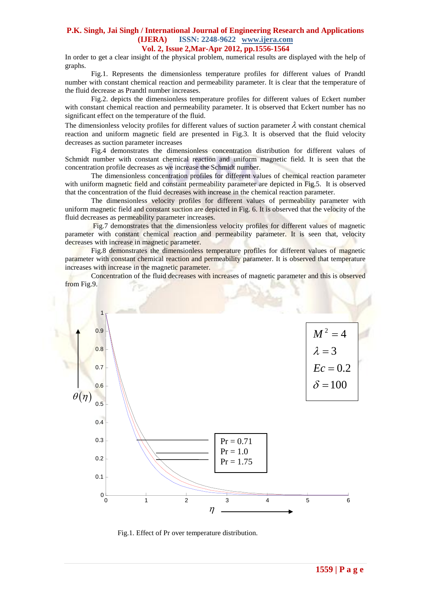# **P.K. Singh, Jai Singh / International Journal of Engineering Research and Applications (IJERA) ISSN: 2248-9622 www.ijera.com**

**Vol. 2, Issue 2,Mar-Apr 2012, pp.1556-1564**

In order to get a clear insight of the physical problem, numerical results are displayed with the help of graphs.

Fig.1. Represents the dimensionless temperature profiles for different values of Prandtl number with constant chemical reaction and permeability parameter. It is clear that the temperature of the fluid decrease as Prandtl number increases.

Fig.2. depicts the dimensionless temperature profiles for different values of Eckert number with constant chemical reaction and permeability parameter. It is observed that Eckert number has no significant effect on the temperature of the fluid.

The dimensionless velocity profiles for different values of suction parameter  $\lambda$  with constant chemical reaction and uniform magnetic field are presented in Fig.3. It is observed that the fluid velocity decreases as suction parameter increases

Fig.4 demonstrates the dimensionless concentration distribution for different values of Schmidt number with constant chemical reaction and uniform magnetic field. It is seen that the concentration profile decreases as we increase the Schmidt number.

The dimensionless concentration profiles for different values of chemical reaction parameter with uniform magnetic field and constant permeability parameter are depicted in Fig.5. It is observed that the concentration of the fluid decreases with increase in the chemical reaction parameter.

The dimensionless velocity profiles for different values of permeability parameter with uniform magnetic field and constant suction are depicted in Fig. 6. It is observed that the velocity of the fluid decreases as permeability parameter increases.

Fig.7 demonstrates that the dimensionless velocity profiles for different values of magnetic parameter with constant chemical reaction and permeability parameter. It is seen that, velocity decreases with increase in magnetic parameter.

Fig.8 demonstrates the dimensionless temperature profiles for different values of magnetic parameter with constant chemical reaction and permeability parameter. It is observed that temperature increases with increase in the magnetic parameter.

Concentration of the fluid decreases with increases of magnetic parameter and this is observed from Fig.9.



Fig.1. Effect of Pr over temperature distribution.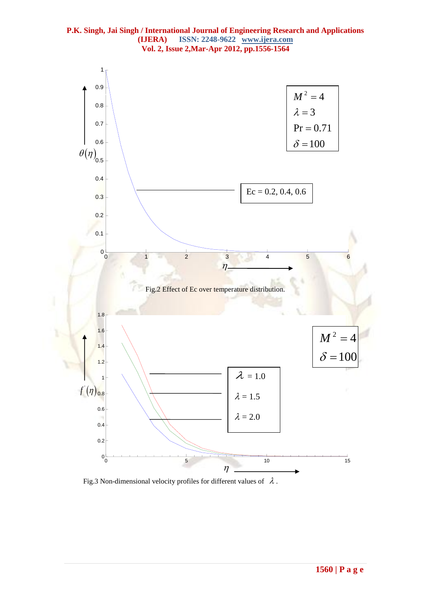



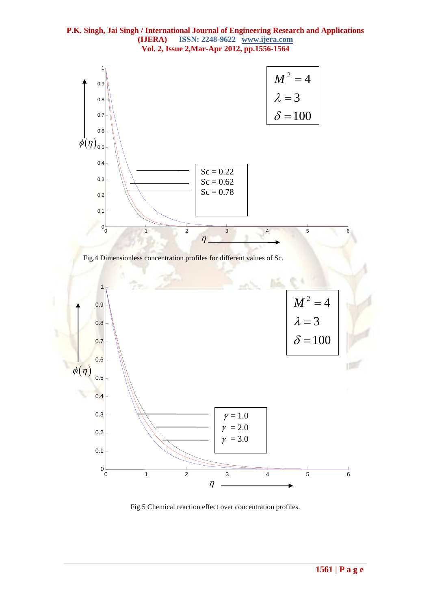



Fig.5 Chemical reaction effect over concentration profiles.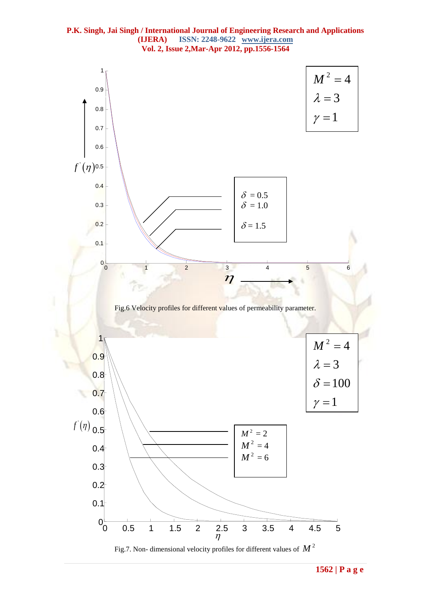



Fig.7. Non- dimensional velocity profiles for different values of  $M^2$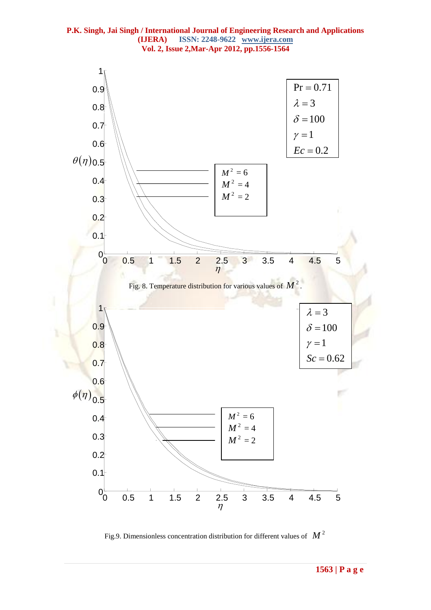



Fig.9. Dimensionless concentration distribution for different values of  $\left\| M\right\| ^{2}$